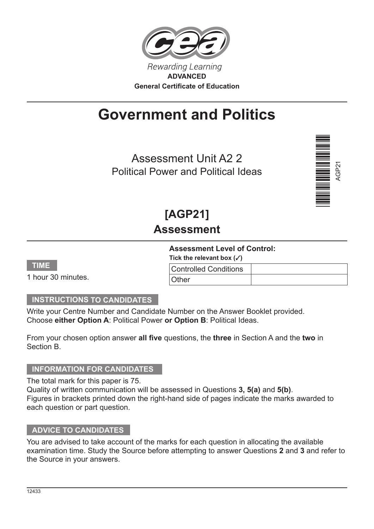

# **Government and Politics**

Assessment Unit A2 2 Political Power and Political Ideas



# **[AGP21] Assessment**

#### **Assessment Level of Control:**

Tick the relevant box  $(\checkmark)$ Controlled Conditions

| -                                                 |  |
|---------------------------------------------------|--|
| --                                                |  |
| . .<br>. .<br>. .<br>-<br>ー<br>▃<br>▃<br>-<br>___ |  |

1 hour 30 minutes.

#### **INSTRUCTIONS TO CANDIDATES**

Write your Centre Number and Candidate Number on the Answer Booklet provided. Choose **either Option A**: Political Power **or Option B**: Political Ideas.

From your chosen option answer **all five** questions, the **three** in Section A and the **two** in Section B.

**Other** 

#### **INFORMATION FOR CANDIDATES**

The total mark for this paper is 75.

Quality of written communication will be assessed in Questions **3, 5(a)** and **5(b)**. Figures in brackets printed down the right-hand side of pages indicate the marks awarded to each question or part question.

#### **ADVICE TO CANDIDATES**

You are advised to take account of the marks for each question in allocating the available examination time. Study the Source before attempting to answer Questions **2** and **3** and refer to the Source in your answers.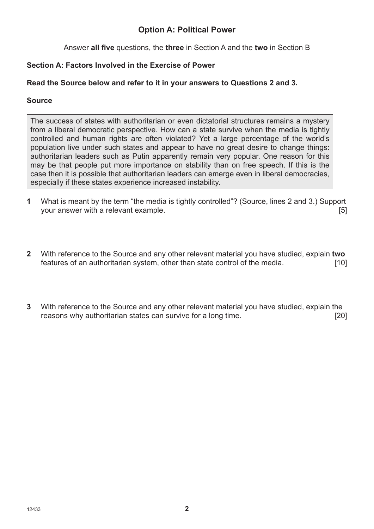### **Option A: Political Power**

Answer **all five** questions, the **three** in Section A and the **two** in Section B

#### **Section A: Factors Involved in the Exercise of Power**

#### **Read the Source below and refer to it in your answers to Questions 2 and 3.**

#### **Source**

The success of states with authoritarian or even dictatorial structures remains a mystery from a liberal democratic perspective. How can a state survive when the media is tightly controlled and human rights are often violated? Yet a large percentage of the world's population live under such states and appear to have no great desire to change things: authoritarian leaders such as Putin apparently remain very popular. One reason for this may be that people put more importance on stability than on free speech. If this is the case then it is possible that authoritarian leaders can emerge even in liberal democracies, especially if these states experience increased instability.

- **1** What is meant by the term "the media is tightly controlled"? (Source, lines 2 and 3.) Support your answer with a relevant example. The same state of the state of  $[5]$
- **2** With reference to the Source and any other relevant material you have studied, explain **two** features of an authoritarian system, other than state control of the media. [10]
- **3** With reference to the Source and any other relevant material you have studied, explain the reasons why authoritarian states can survive for a long time. [20]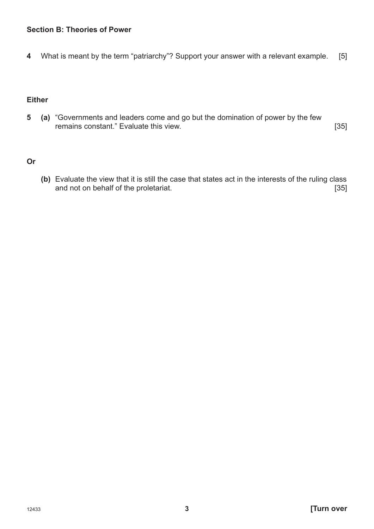#### **Section B: Theories of Power**

**4** What is meant by the term "patriarchy"? Support your answer with a relevant example. [5]

#### **Either**

**5 (a)** "Governments and leaders come and go but the domination of power by the few remains constant." Evaluate this view. **Example 2008** 135]

#### **Or**

**(b)** Evaluate the view that it is still the case that states act in the interests of the ruling class and not on behalf of the proletariat. **Example 2018** [35]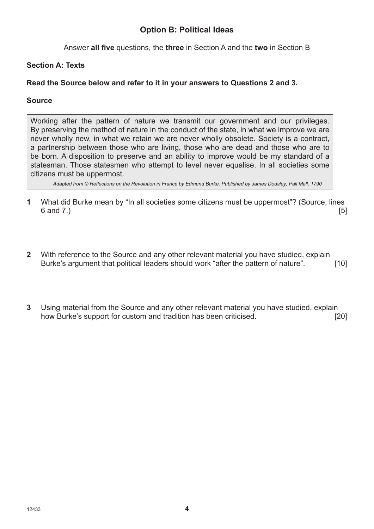### **Option B: Political Ideas**

Answer **all five** questions, the **three** in Section A and the **two** in Section B

#### **Section A: Texts**

#### **Read the Source below and refer to it in your answers to Questions 2 and 3.**

#### **Source**

Working after the pattern of nature we transmit our government and our privileges. By preserving the method of nature in the conduct of the state, in what we improve we are never wholly new, in what we retain we are never wholly obsolete. Society is a contract, a partnership between those who are living, those who are dead and those who are to be born. A disposition to preserve and an ability to improve would be my standard of a statesman. Those statesmen who attempt to level never equalise. In all societies some citizens must be uppermost.

*Adapted from © Reflections on the Revolution in France by Edmund Burke. Published by James Dodsley, Pall Mall, 1790*

- **1** What did Burke mean by "In all societies some citizens must be uppermost"? (Source, lines 6 and 7.)  $[5]$
- **2** With reference to the Source and any other relevant material you have studied, explain Burke's argument that political leaders should work "after the pattern of nature". [10]
- **3** Using material from the Source and any other relevant material you have studied, explain how Burke's support for custom and tradition has been criticised. [20]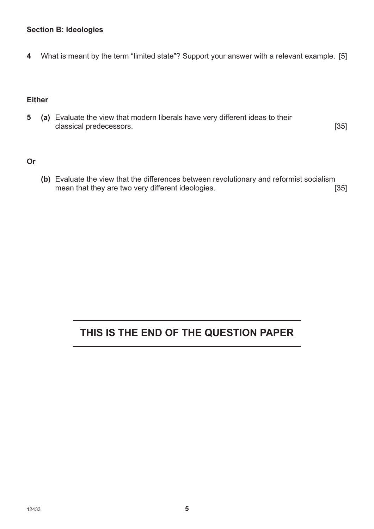#### **Section B: Ideologies**

**4** What is meant by the term "limited state"? Support your answer with a relevant example. [5]

#### **Either**

**5 (a)** Evaluate the view that modern liberals have very different ideas to their classical predecessors. [35]

#### **Or**

**(b)** Evaluate the view that the differences between revolutionary and reformist socialism mean that they are two very different ideologies. **Example 2018** [35]

## **THIS IS THE END OF THE QUESTION PAPER**